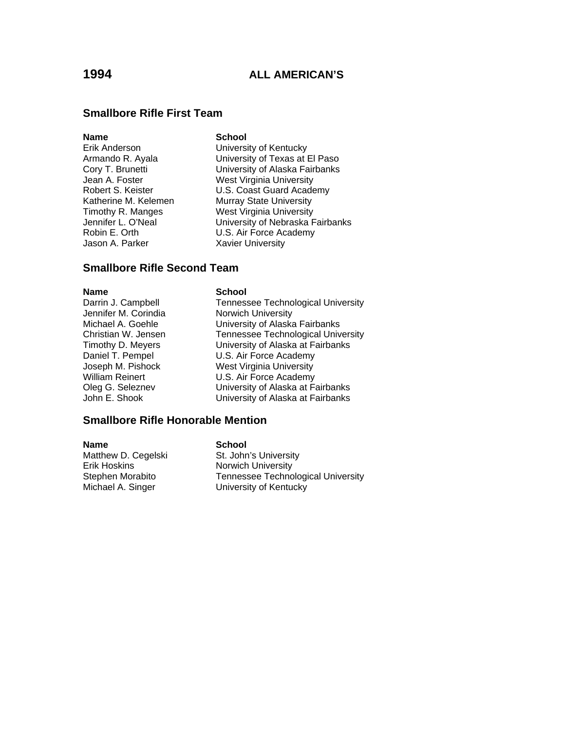### **Smallbore Rifle First Team**

#### **Name** School

Jason A. Parker Xavier University

Erik Anderson University of Kentucky Armando R. Ayala University of Texas at El Paso Cory T. Brunetti University of Alaska Fairbanks Jean A. Foster West Virginia University<br>
Robert S. Keister V.S. Coast Guard Acade U.S. Coast Guard Academy Katherine M. Kelemen Murray State University Timothy R. Manges West Virginia University Jennifer L. O'Neal **University of Nebraska Fairbanks** Robin E. Orth U.S. Air Force Academy

### **Smallbore Rifle Second Team**

Jennifer M. Corindia Norwich University

#### **Name School**

Darrin J. Campbell **Tennessee Technological University** Michael A. Goehle **University of Alaska Fairbanks** Christian W. Jensen<br>
Tennessee Technological University<br>
Timothy D. Meyers<br>
University of Alaska at Fairbanks University of Alaska at Fairbanks Daniel T. Pempel U.S. Air Force Academy Joseph M. Pishock West Virginia University William Reinert **U.S. Air Force Academy** Oleg G. Seleznev University of Alaska at Fairbanks John E. Shook University of Alaska at Fairbanks

### **Smallbore Rifle Honorable Mention**

**Name** School Matthew D. Cegelski St. John's University Erik Hoskins **Norwich University**<br>
Stephen Morabito **Norwich University**<br>
Tennessee Techno

Tennessee Technological University Michael A. Singer **University of Kentucky**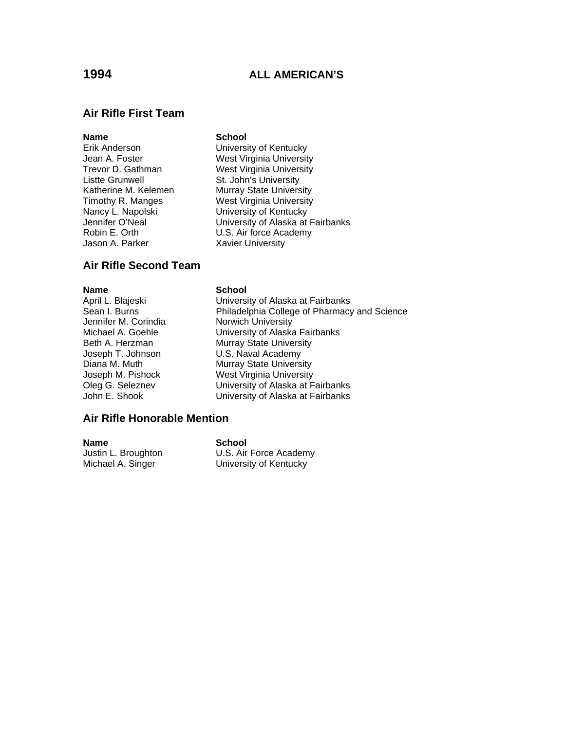### **Air Rifle First Team**

#### **Name** School

- Listte Grunwell **St. John's University** Jason A. Parker Xavier University
- Erik Anderson University of Kentucky Jean A. Foster **West Virginia University**<br>
Trevor D. Gathman **West Virginia University** West Virginia University Katherine M. Kelemen Murray State University Timothy R. Manges West Virginia University Nancy L. Napolski **University of Kentucky** Jennifer O'Neal University of Alaska at Fairbanks Robin E. Orth U.S. Air force Academy

### **Air Rifle Second Team**

Jennifer M. Corindia **Norwich University** 

#### **Name** School

April L. Blajeski University of Alaska at Fairbanks Philadelphia College of Pharmacy and Science Michael A. Goehle **University of Alaska Fairbanks** Beth A. Herzman Murray State University Joseph T. Johnson **U.S. Naval Academy** Diana M. Muth Murray State University<br>
Joseph M. Pishock Must Virginia University Joseph M. Pishock West Virginia University<br>
Oleg G. Seleznev University of Alaska at F Oleg G. Seleznev **Christian Coleg G. Seleznev** University of Alaska at Fairbanks<br>John E. Shook **Christian Christian University of Alaska at Fairbanks** University of Alaska at Fairbanks

#### **Air Rifle Honorable Mention**

| Name                | School                 |
|---------------------|------------------------|
| Justin L. Broughton | U.S. Air Force Academy |
| Michael A. Singer   | University of Kentucky |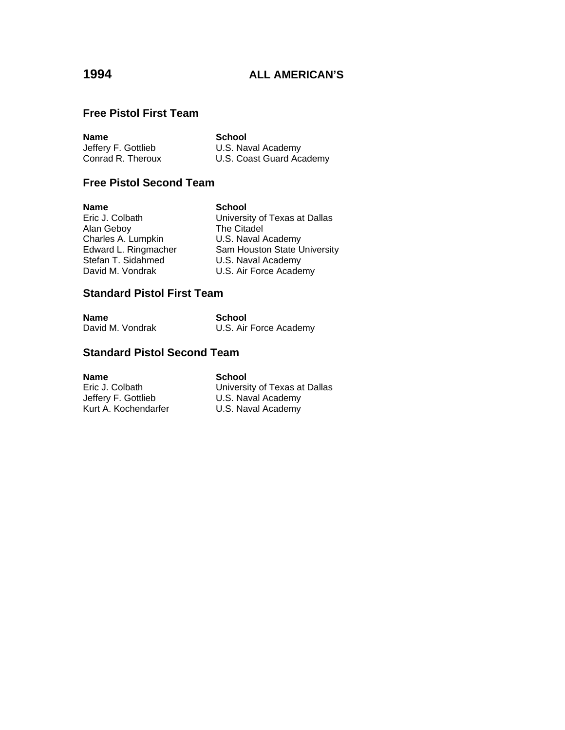### **Free Pistol First Team**

| <b>Name</b>         | School                   |
|---------------------|--------------------------|
| Jeffery F. Gottlieb | U.S. Naval Academy       |
| Conrad R. Theroux   | U.S. Coast Guard Academy |

## **Free Pistol Second Team**

| <b>Name</b>          | <b>School</b>                 |
|----------------------|-------------------------------|
| Eric J. Colbath      | University of Texas at Dallas |
| Alan Geboy           | The Citadel                   |
| Charles A. Lumpkin   | U.S. Naval Academy            |
| Edward L. Ringmacher | Sam Houston State University  |
| Stefan T. Sidahmed   | U.S. Naval Academy            |
| David M. Vondrak     | U.S. Air Force Academy        |

## **Standard Pistol First Team**

| <b>Name</b>      | School                 |
|------------------|------------------------|
| David M. Vondrak | U.S. Air Force Academy |

## **Standard Pistol Second Team**

**Name** School<br>
Eric J. Colbath **School**<br>
Universi

Eric J. Colbath University of Texas at Dallas<br>Jeffery F. Gottlieb U.S. Naval Academy Jeffery F. Gottlieb U.S. Naval Academy<br>
Kurt A. Kochendarfer U.S. Naval Academy U.S. Naval Academy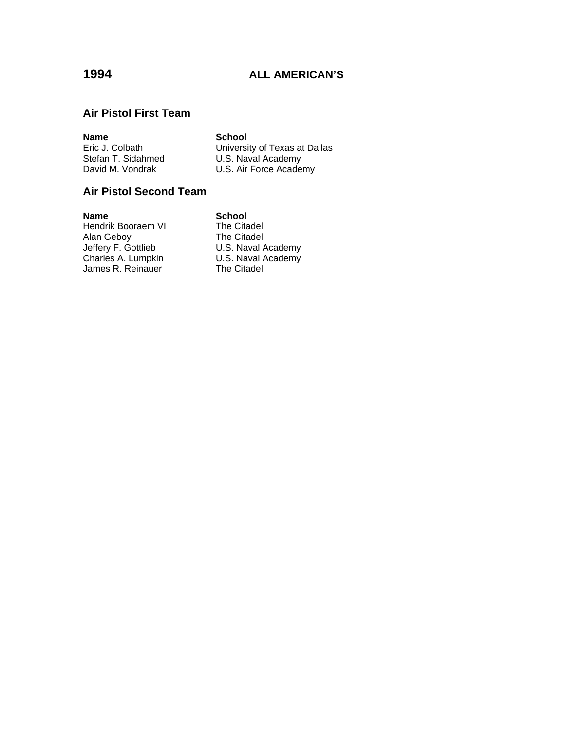## **Air Pistol First Team**

| <b>Name</b>        | School                        |
|--------------------|-------------------------------|
| Eric J. Colbath    | University of Texas at Dallas |
| Stefan T. Sidahmed | U.S. Naval Academy            |
| David M. Vondrak   | U.S. Air Force Academy        |

### **Air Pistol Second Team**

**Name**<br> **Hendrik Booraem VI** The Citadel Hendrik Booraem VI Alan Geboy The Citadel<br>
Jeffery F. Gottlieb U.S. Naval A<br>
Charles A. Lumpkin U.S. Naval A Jeffery F. Gottlieb U.S. Naval Academy Charles A. Lumpkin U.S. Naval Academy James R. Reinauer The Citadel